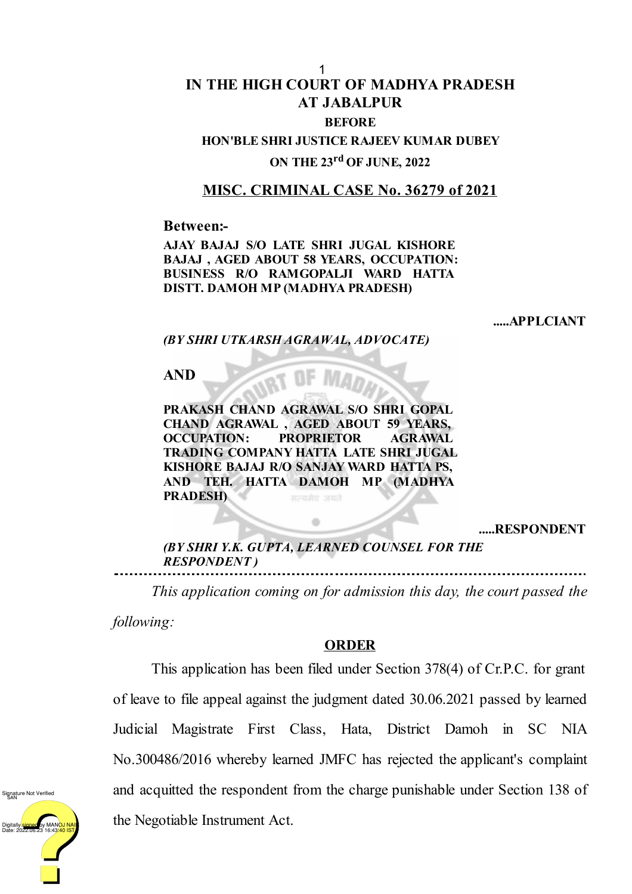## **IN THE HIGH COURT OF MADHYA PRADESH AT JABALPUR BEFORE HON'BLE SHRI JUSTICE RAJEEV KUMAR DUBEY** 1

## **ON THE 23 rd OF JUNE, 2022**

## **MISC. CRIMINAL CASE No. 36279 of 2021**

**Between:-**

**AJAY BAJAJ S/O LATE SHRI JUGAL KISHORE BAJAJ , AGED ABOUT 58 YEARS, OCCUPATION: BUSINESS R/O RAMGOPALJI WARD HATTA DISTT. DAMOH MP (MADHYA PRADESH)**

**.....APPLCIANT**

*(BY SHRI UTKARSH AGRAWAL, ADVOCATE)*

**AND**

**PRAKASH CHAND AGRAWAL S/O SHRI GOPAL CHAND AGRAWAL , AGED ABOUT 59 YEARS, OCCUPATION: PROPRIETOR AGRAWAL TRADING COMPANY HATTA LATE SHRI JUGAL KISHORE BAJAJ R/O SANJAY WARD HATTA PS, AND TEH. HATTA DAMOH MP (MADHYA PRADESH)** सत्यमेव जयते

**.....RESPONDENT**

*(BY SHRI Y.K. GUPTA, LEARNED COUNSEL FOR THE RESPONDENT )*

*This application coming on for admission this day, the court passed the*

*following:*

## **ORDER**

This application has been filed under Section 378(4) of Cr.P.C. for grant of leave to file appeal against the judgment dated 30.06.2021 passed by learned Judicial Magistrate First Class, Hata, District Damoh in SC NIA No.300486/2016 whereby learned JMFC has rejected the applicant's complaint and acquitted the respondent from the charge punishable under Section 138 of the Negotiable Instrument Act.